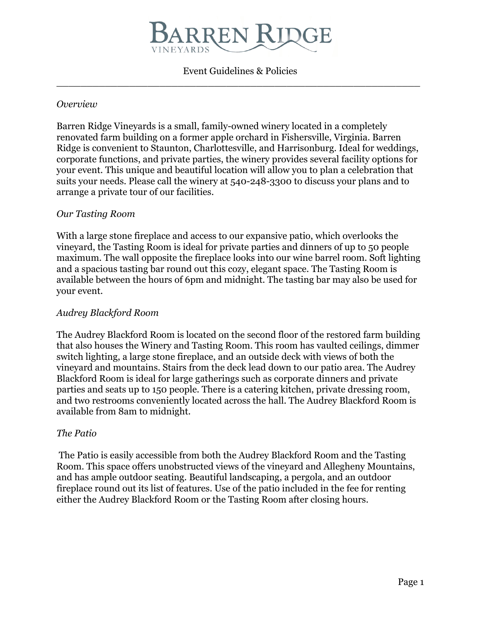

Event Guidelines & Policies \_\_\_\_\_\_\_\_\_\_\_\_\_\_\_\_\_\_\_\_\_\_\_\_\_\_\_\_\_\_\_\_\_\_\_\_\_\_\_\_\_\_\_\_\_\_\_\_\_\_\_\_\_\_\_\_\_\_\_\_

#### *Overview*

Barren Ridge Vineyards is a small, family-owned winery located in a completely renovated farm building on a former apple orchard in Fishersville, Virginia. Barren Ridge is convenient to Staunton, Charlottesville, and Harrisonburg. Ideal for weddings, corporate functions, and private parties, the winery provides several facility options for your event. This unique and beautiful location will allow you to plan a celebration that suits your needs. Please call the winery at 540-248-3300 to discuss your plans and to arrange a private tour of our facilities.

### *Our Tasting Room*

With a large stone fireplace and access to our expansive patio, which overlooks the vineyard, the Tasting Room is ideal for private parties and dinners of up to 50 people maximum. The wall opposite the fireplace looks into our wine barrel room. Soft lighting and a spacious tasting bar round out this cozy, elegant space. The Tasting Room is available between the hours of 6pm and midnight. The tasting bar may also be used for your event.

### *Audrey Blackford Room*

The Audrey Blackford Room is located on the second floor of the restored farm building that also houses the Winery and Tasting Room. This room has vaulted ceilings, dimmer switch lighting, a large stone fireplace, and an outside deck with views of both the vineyard and mountains. Stairs from the deck lead down to our patio area. The Audrey Blackford Room is ideal for large gatherings such as corporate dinners and private parties and seats up to 150 people. There is a catering kitchen, private dressing room, and two restrooms conveniently located across the hall. The Audrey Blackford Room is available from 8am to midnight.

#### *The Patio*

 The Patio is easily accessible from both the Audrey Blackford Room and the Tasting Room. This space offers unobstructed views of the vineyard and Allegheny Mountains, and has ample outdoor seating. Beautiful landscaping, a pergola, and an outdoor fireplace round out its list of features. Use of the patio included in the fee for renting either the Audrey Blackford Room or the Tasting Room after closing hours.